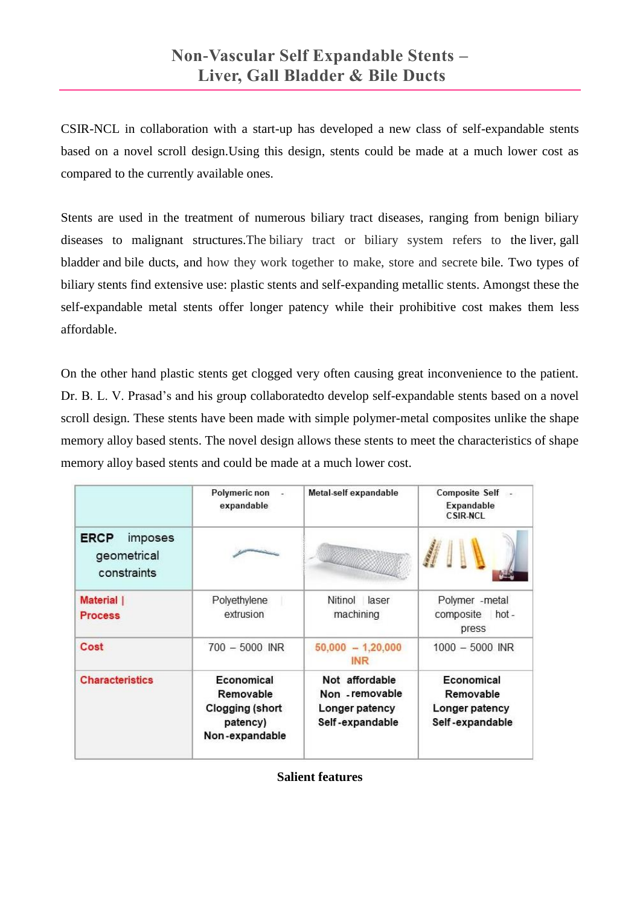CSIR-NCL in collaboration with a start-up has developed a new class of self-expandable stents based on a novel scroll design.Using this design, stents could be made at a much lower cost as compared to the currently available ones.

Stents are used in the treatment of numerous biliary tract diseases, ranging from benign biliary diseases to malignant structures.The biliary tract or biliary system refers to the [liver,](https://en.wikipedia.org/wiki/Liver) [gall](https://en.wikipedia.org/wiki/Gall_bladder)  [bladder](https://en.wikipedia.org/wiki/Gall_bladder) and [bile ducts,](https://en.wikipedia.org/wiki/Bile_ducts) and how they work together to make, store and secrete bile. Two types of biliary stents find extensive use: plastic stents and self-expanding metallic stents. Amongst these the self-expandable metal stents offer longer patency while their prohibitive cost makes them less affordable.

On the other hand plastic stents get clogged very often causing great inconvenience to the patient. Dr. B. L. V. Prasad's and his group collaboratedto develop self-expandable stents based on a novel scroll design. These stents have been made with simple polymer-metal composites unlike the shape memory alloy based stents. The novel design allows these stents to meet the characteristics of shape memory alloy based stents and could be made at a much lower cost.

|                                                      | Polymeric non<br>×<br>expandable                                         | Metal-self expandable                                                  | Composite Self -<br>Expandable<br><b>CSIR-NCL</b>            |
|------------------------------------------------------|--------------------------------------------------------------------------|------------------------------------------------------------------------|--------------------------------------------------------------|
| <b>ERCP</b><br>imposes<br>geometrical<br>constraints |                                                                          |                                                                        |                                                              |
| Material  <br><b>Process</b>                         | Polyethylene<br>extrusion                                                | Nitinol<br>laser<br>machining                                          | Polymer - metal<br>composite<br>$hot -$<br>press             |
| Cost                                                 | $700 - 5000$ INR                                                         | $50,000 - 1,20,000$<br><b>INR</b>                                      | $1000 - 5000$ INR                                            |
| <b>Characteristics</b>                               | Economical<br>Removable<br>Clogging (short<br>patency)<br>Non-expandable | Not affordable<br>Non - removable<br>Longer patency<br>Self-expandable | Economical<br>Removable<br>Longer patency<br>Self-expandable |

**Salient features**